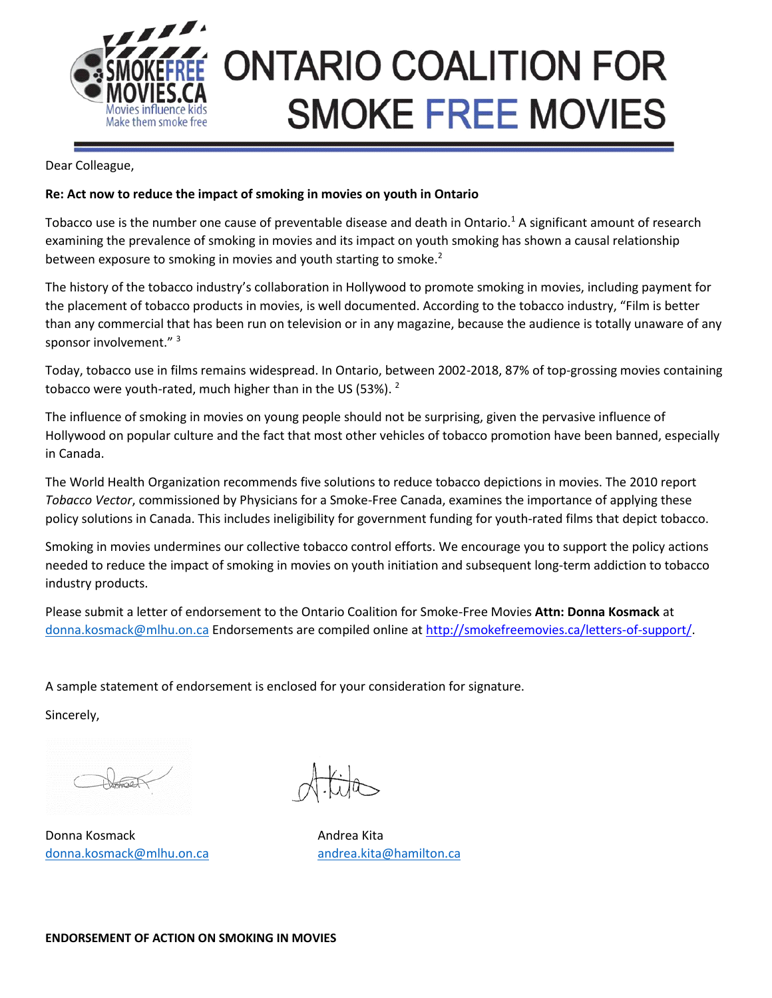

## **ONTARIO COALITION FOR SMOKE FREE MOVIES**

Dear Colleague,

## **Re: Act now to reduce the impact of smoking in movies on youth in Ontario**

Tobacco use is the number one cause of preventable disease and death in Ontario.<sup>1</sup> A significant amount of research examining the prevalence of smoking in movies and its impact on youth smoking has shown a causal relationship between exposure to smoking in movies and youth starting to smoke.<sup>2</sup>

The history of the tobacco industry's collaboration in Hollywood to promote smoking in movies, including payment for the placement of tobacco products in movies, is well documented. According to the tobacco industry, "Film is better than any commercial that has been run on television or in any magazine, because the audience is totally unaware of any sponsor involvement." 3

Today, tobacco use in films remains widespread. In Ontario, between 2002-2018, 87% of top-grossing movies containing tobacco were youth-rated, much higher than in the US (53%). <sup>2</sup>

The influence of smoking in movies on young people should not be surprising, given the pervasive influence of Hollywood on popular culture and the fact that most other vehicles of tobacco promotion have been banned, especially in Canada.

The World Health Organization recommends five solutions to reduce tobacco depictions in movies. The 2010 report *Tobacco Vector*, commissioned by Physicians for a Smoke-Free Canada, examines the importance of applying these policy solutions in Canada. This includes ineligibility for government funding for youth-rated films that depict tobacco.

Smoking in movies undermines our collective tobacco control efforts. We encourage you to support the policy actions needed to reduce the impact of smoking in movies on youth initiation and subsequent long-term addiction to tobacco industry products.

Please submit a letter of endorsement to the Ontario Coalition for Smoke-Free Movies **Attn: Donna Kosmack** at [donna.kosmack@mlhu.on.ca](mailto:donna.kosmack@mlhu.on.ca) Endorsements are compiled online at [http://smokefreemovies.ca/letters-of-support/.](http://smokefreemovies.ca/letters-of-support/)

A sample statement of endorsement is enclosed for your consideration for signature.

Sincerely,

Donna Kosmack **Andrea Kita** [donna.kosmack@mlhu.on.ca](mailto:donna.kosmack@mlhu.on.ca) [andrea.kita@hamilton.ca](mailto:andrea.kita@hamilton.ca)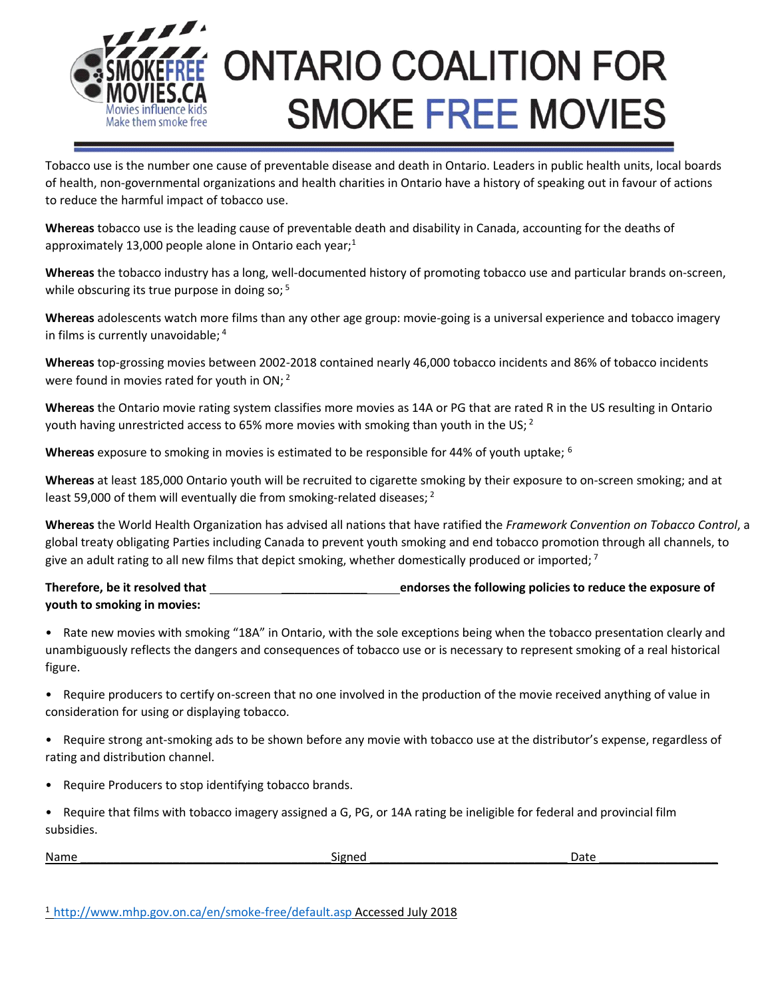

## **ONTARIO COALITION FOR SMOKE FREE MOVIES**

Tobacco use is the number one cause of preventable disease and death in Ontario. Leaders in public health units, local boards of health, non-governmental organizations and health charities in Ontario have a history of speaking out in favour of actions to reduce the harmful impact of tobacco use.

**Whereas** tobacco use is the leading cause of preventable death and disability in Canada, accounting for the deaths of approximately 13,000 people alone in Ontario each year;<sup>1</sup>

**Whereas** the tobacco industry has a long, well-documented history of promoting tobacco use and particular brands on-screen, while obscuring its true purpose in doing so;<sup>5</sup>

**Whereas** adolescents watch more films than any other age group: movie-going is a universal experience and tobacco imagery in films is currently unavoidable; <sup>4</sup>

**Whereas** top-grossing movies between 2002-2018 contained nearly 46,000 tobacco incidents and 86% of tobacco incidents were found in movies rated for youth in ON; <sup>2</sup>

**Whereas** the Ontario movie rating system classifies more movies as 14A or PG that are rated R in the US resulting in Ontario youth having unrestricted access to 65% more movies with smoking than youth in the US;  $2^{\circ}$ 

**Whereas** exposure to smoking in movies is estimated to be responsible for 44% of youth uptake; <sup>6</sup>

**Whereas** at least 185,000 Ontario youth will be recruited to cigarette smoking by their exposure to on-screen smoking; and at least 59,000 of them will eventually die from smoking-related diseases; <sup>2</sup>

**Whereas** the World Health Organization has advised all nations that have ratified the *Framework Convention on Tobacco Control*, a global treaty obligating Parties including Canada to prevent youth smoking and end tobacco promotion through all channels, to give an adult rating to all new films that depict smoking, whether domestically produced or imported;  $\frac{7}{1}$ 

**Therefore, be it resolved that** \_\_\_\_\_\_\_\_\_\_\_\_\_ **endorses the following policies to reduce the exposure of youth to smoking in movies:** 

• Rate new movies with smoking "18A" in Ontario, with the sole exceptions being when the tobacco presentation clearly and unambiguously reflects the dangers and consequences of tobacco use or is necessary to represent smoking of a real historical figure.

- Require producers to certify on-screen that no one involved in the production of the movie received anything of value in consideration for using or displaying tobacco.
- Require strong ant-smoking ads to be shown before any movie with tobacco use at the distributor's expense, regardless of rating and distribution channel.
- Require Producers to stop identifying tobacco brands.
- Require that films with tobacco imagery assigned a G, PG, or 14A rating be ineligible for federal and provincial film subsidies.

| Name | <br>Signed | Date |
|------|------------|------|
|      |            |      |

<sup>1</sup><http://www.mhp.gov.on.ca/en/smoke-free/default.asp> Accessed July 2018